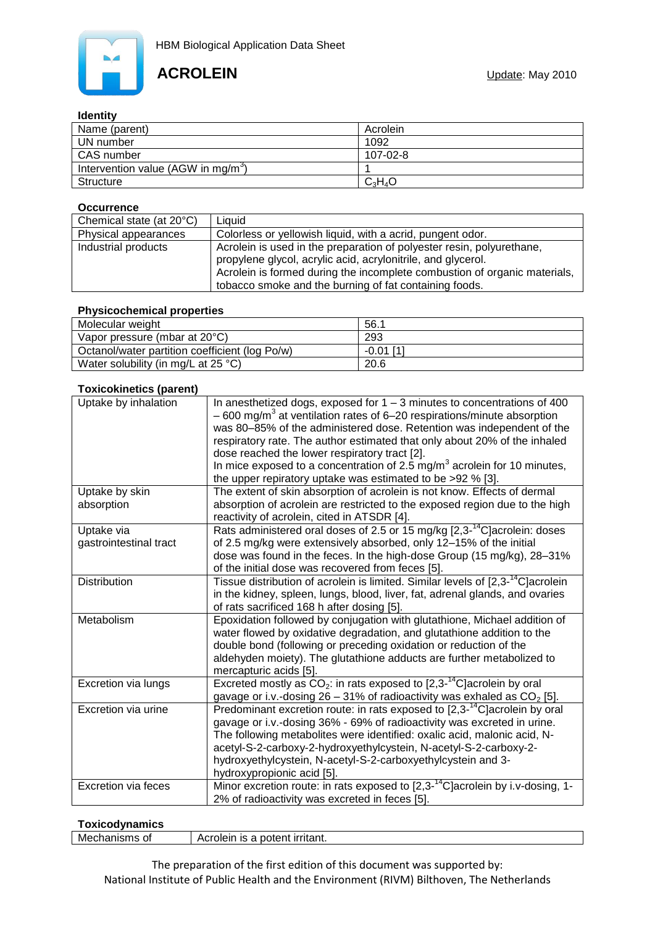

## **Identity**

| --------                                       |           |
|------------------------------------------------|-----------|
| Name (parent)                                  | Acrolein  |
| UN number                                      | 1092      |
| CAS number                                     | 107-02-8  |
| Intervention value (AGW in mg/m <sup>3</sup> ) |           |
| Structure                                      | $C_3H_4O$ |

#### **Occurrence**

| Chemical state (at 20°C) | Liauid                                                                                                                                                                                                                                                                       |
|--------------------------|------------------------------------------------------------------------------------------------------------------------------------------------------------------------------------------------------------------------------------------------------------------------------|
| Physical appearances     | Colorless or yellowish liquid, with a acrid, pungent odor.                                                                                                                                                                                                                   |
| Industrial products      | Acrolein is used in the preparation of polyester resin, polyurethane,<br>propylene glycol, acrylic acid, acrylonitrile, and glycerol.<br>Acrolein is formed during the incomplete combustion of organic materials,<br>tobacco smoke and the burning of fat containing foods. |

## **Physicochemical properties**

| Molecular weight                               | 56.         |
|------------------------------------------------|-------------|
| Vapor pressure (mbar at 20°C)                  | 293         |
| Octanol/water partition coefficient (log Po/w) | $-0.01$ [1] |
| Water solubility (in mg/L at $25 \degree C$ )  | 20.6        |

### **Toxicokinetics (parent)**

| Uptake by inhalation                 | In anesthetized dogs, exposed for $1 - 3$ minutes to concentrations of 400<br>$-600$ mg/m <sup>3</sup> at ventilation rates of 6–20 respirations/minute absorption<br>was 80-85% of the administered dose. Retention was independent of the<br>respiratory rate. The author estimated that only about 20% of the inhaled<br>dose reached the lower respiratory tract [2].<br>In mice exposed to a concentration of 2.5 $mg/m3$ acrolein for 10 minutes,<br>the upper repiratory uptake was estimated to be >92 % [3]. |
|--------------------------------------|-----------------------------------------------------------------------------------------------------------------------------------------------------------------------------------------------------------------------------------------------------------------------------------------------------------------------------------------------------------------------------------------------------------------------------------------------------------------------------------------------------------------------|
| Uptake by skin<br>absorption         | The extent of skin absorption of acrolein is not know. Effects of dermal<br>absorption of acrolein are restricted to the exposed region due to the high<br>reactivity of acrolein, cited in ATSDR [4].                                                                                                                                                                                                                                                                                                                |
| Uptake via<br>gastrointestinal tract | Rats administered oral doses of 2.5 or 15 mg/kg [2,3- <sup>14</sup> C] acrolein: doses<br>of 2.5 mg/kg were extensively absorbed, only 12-15% of the initial<br>dose was found in the feces. In the high-dose Group (15 mg/kg), 28-31%<br>of the initial dose was recovered from feces [5].                                                                                                                                                                                                                           |
| <b>Distribution</b>                  | Tissue distribution of acrolein is limited. Similar levels of [2,3- <sup>14</sup> C] acrolein<br>in the kidney, spleen, lungs, blood, liver, fat, adrenal glands, and ovaries<br>of rats sacrificed 168 h after dosing [5].                                                                                                                                                                                                                                                                                           |
| Metabolism                           | Epoxidation followed by conjugation with glutathione, Michael addition of<br>water flowed by oxidative degradation, and glutathione addition to the<br>double bond (following or preceding oxidation or reduction of the<br>aldehyden moiety). The glutathione adducts are further metabolized to<br>mercapturic acids [5].                                                                                                                                                                                           |
| Excretion via lungs                  | Excreted mostly as $CO_2$ : in rats exposed to [2,3- <sup>14</sup> C] acrolein by oral<br>gavage or i.v.-dosing $26 - 31\%$ of radioactivity was exhaled as $CO2$ [5].                                                                                                                                                                                                                                                                                                                                                |
| Excretion via urine                  | Predominant excretion route: in rats exposed to [2,3- <sup>14</sup> C] acrolein by oral<br>gavage or i.v.-dosing 36% - 69% of radioactivity was excreted in urine.<br>The following metabolites were identified: oxalic acid, malonic acid, N-<br>acetyl-S-2-carboxy-2-hydroxyethylcystein, N-acetyl-S-2-carboxy-2-<br>hydroxyethylcystein, N-acetyl-S-2-carboxyethylcystein and 3-<br>hydroxypropionic acid [5].                                                                                                     |
| <b>Excretion via feces</b>           | Minor excretion route: in rats exposed to $[2,3^{-14}C]$ acrolein by i.v-dosing, 1-<br>2% of radioactivity was excreted in feces [5].                                                                                                                                                                                                                                                                                                                                                                                 |

#### **Toxicodynamics**

| ,                            |                                                     |
|------------------------------|-----------------------------------------------------|
| Mech<br>.J∩anisms ∩*<br>-OT- | rolein is a potent irritant.<br>$\mathbf{A}$<br>___ |
|                              |                                                     |

The preparation of the first edition of this document was supported by: National Institute of Public Health and the Environment (RIVM) Bilthoven, The Netherlands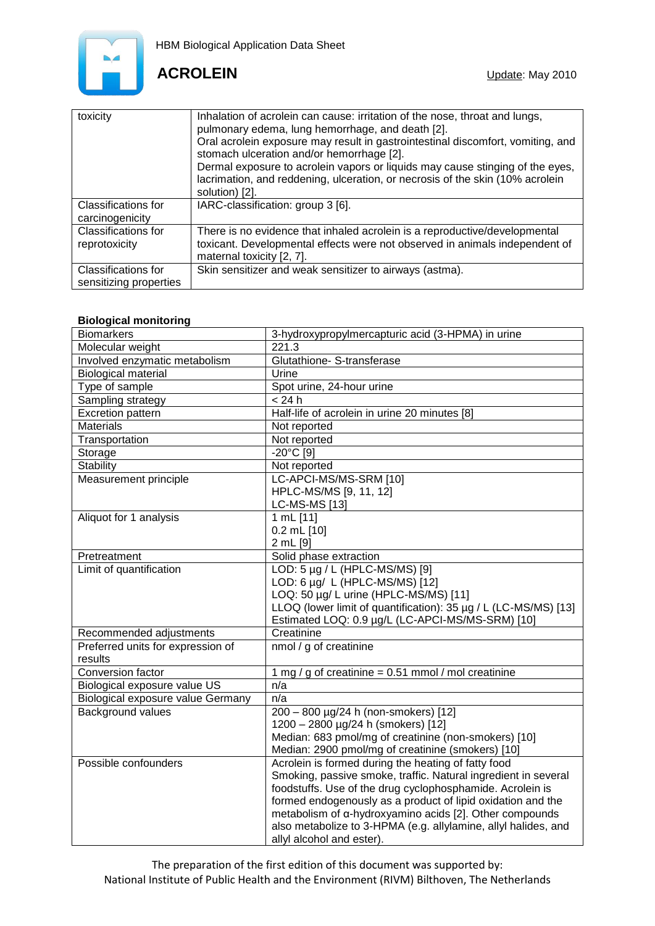

# **ACROLEIN Update:** May 2010

| toxicity                                      | Inhalation of acrolein can cause: irritation of the nose, throat and lungs,<br>pulmonary edema, lung hemorrhage, and death [2].<br>Oral acrolein exposure may result in gastrointestinal discomfort, vomiting, and<br>stomach ulceration and/or hemorrhage [2].<br>Dermal exposure to acrolein vapors or liquids may cause stinging of the eyes,<br>lacrimation, and reddening, ulceration, or necrosis of the skin (10% acrolein<br>solution) [2]. |
|-----------------------------------------------|-----------------------------------------------------------------------------------------------------------------------------------------------------------------------------------------------------------------------------------------------------------------------------------------------------------------------------------------------------------------------------------------------------------------------------------------------------|
| Classifications for<br>carcinogenicity        | IARC-classification: group 3 [6].                                                                                                                                                                                                                                                                                                                                                                                                                   |
| <b>Classifications for</b><br>reprotoxicity   | There is no evidence that inhaled acrolein is a reproductive/developmental<br>toxicant. Developmental effects were not observed in animals independent of<br>maternal toxicity [2, 7].                                                                                                                                                                                                                                                              |
| Classifications for<br>sensitizing properties | Skin sensitizer and weak sensitizer to airways (astma).                                                                                                                                                                                                                                                                                                                                                                                             |

# **Biological monitoring**

| <b>Biomarkers</b>                 | 3-hydroxypropylmercapturic acid (3-HPMA) in urine               |
|-----------------------------------|-----------------------------------------------------------------|
| Molecular weight                  | 221.3                                                           |
| Involved enzymatic metabolism     | Glutathione- S-transferase                                      |
| <b>Biological material</b>        | Urine                                                           |
| Type of sample                    | Spot urine, 24-hour urine                                       |
| Sampling strategy                 | < 24 h                                                          |
| <b>Excretion pattern</b>          | Half-life of acrolein in urine 20 minutes [8]                   |
| <b>Materials</b>                  | Not reported                                                    |
| Transportation                    | Not reported                                                    |
| Storage                           | -20°C [9]                                                       |
| Stability                         | Not reported                                                    |
| Measurement principle             | LC-APCI-MS/MS-SRM [10]                                          |
|                                   | HPLC-MS/MS [9, 11, 12]                                          |
|                                   | <b>LC-MS-MS [13]</b>                                            |
| Aliquot for 1 analysis            | 1 mL [11]                                                       |
|                                   | $0.2$ mL $[10]$                                                 |
|                                   | 2 mL [9]                                                        |
| Pretreatment                      | Solid phase extraction                                          |
| Limit of quantification           | LOD: 5 µg / L (HPLC-MS/MS) [9]                                  |
|                                   | LOD: 6 µg/ L (HPLC-MS/MS) [12]                                  |
|                                   | LOQ: 50 µg/ L urine (HPLC-MS/MS) [11]                           |
|                                   | LLOQ (lower limit of quantification): 35 µg / L (LC-MS/MS) [13] |
|                                   | Estimated LOQ: 0.9 µg/L (LC-APCI-MS/MS-SRM) [10]                |
| Recommended adjustments           | Creatinine                                                      |
| Preferred units for expression of | nmol / g of creatinine                                          |
| results                           |                                                                 |
| Conversion factor                 | 1 mg / g of creatinine = $0.51$ mmol / mol creatinine           |
| Biological exposure value US      | n/a                                                             |
| Biological exposure value Germany | n/a                                                             |
| Background values                 | 200 - 800 µg/24 h (non-smokers) [12]                            |
|                                   | 1200 - 2800 µg/24 h (smokers) [12]                              |
|                                   | Median: 683 pmol/mg of creatinine (non-smokers) [10]            |
|                                   | Median: 2900 pmol/mg of creatinine (smokers) [10]               |
| Possible confounders              | Acrolein is formed during the heating of fatty food             |
|                                   | Smoking, passive smoke, traffic. Natural ingredient in several  |
|                                   | foodstuffs. Use of the drug cyclophosphamide. Acrolein is       |
|                                   | formed endogenously as a product of lipid oxidation and the     |
|                                   | metabolism of a-hydroxyamino acids [2]. Other compounds         |
|                                   | also metabolize to 3-HPMA (e.g. allylamine, allyl halides, and  |
|                                   | allyl alcohol and ester).                                       |

The preparation of the first edition of this document was supported by: National Institute of Public Health and the Environment (RIVM) Bilthoven, The Netherlands